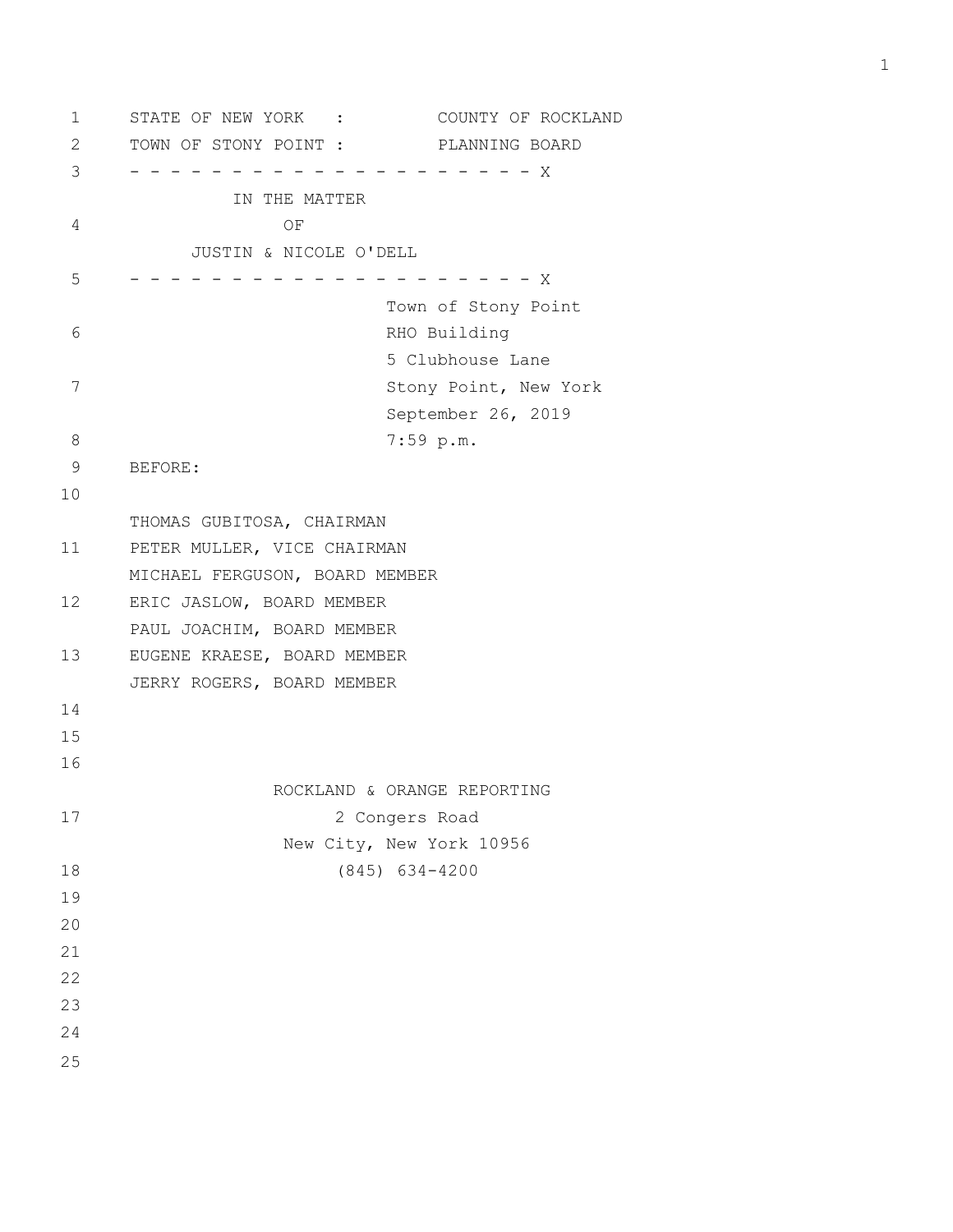1 STATE OF NEW YORK : COUNTY OF ROCKLAND 2 TOWN OF STONY POINT : PLANNING BOARD 3 - - - - - - - - - - - - - - - - - - - - X IN THE MATTER 4 OF JUSTIN & NICOLE O'DELL 5 - - - - - - - - - - - - - - - - - - - - X Town of Stony Point 6 RHO Building 5 Clubhouse Lane 7 Stony Point, New York September 26, 2019 8 7:59 p.m. 9 BEFORE: 10 THOMAS GUBITOSA, CHAIRMAN 11 PETER MULLER, VICE CHAIRMAN MICHAEL FERGUSON, BOARD MEMBER 12 ERIC JASLOW, BOARD MEMBER PAUL JOACHIM, BOARD MEMBER 13 EUGENE KRAESE, BOARD MEMBER JERRY ROGERS, BOARD MEMBER 14 15 16 ROCKLAND & ORANGE REPORTING 17 2 Congers Road New City, New York 10956 18 (845) 634-4200 19 20 21 22 23 24 25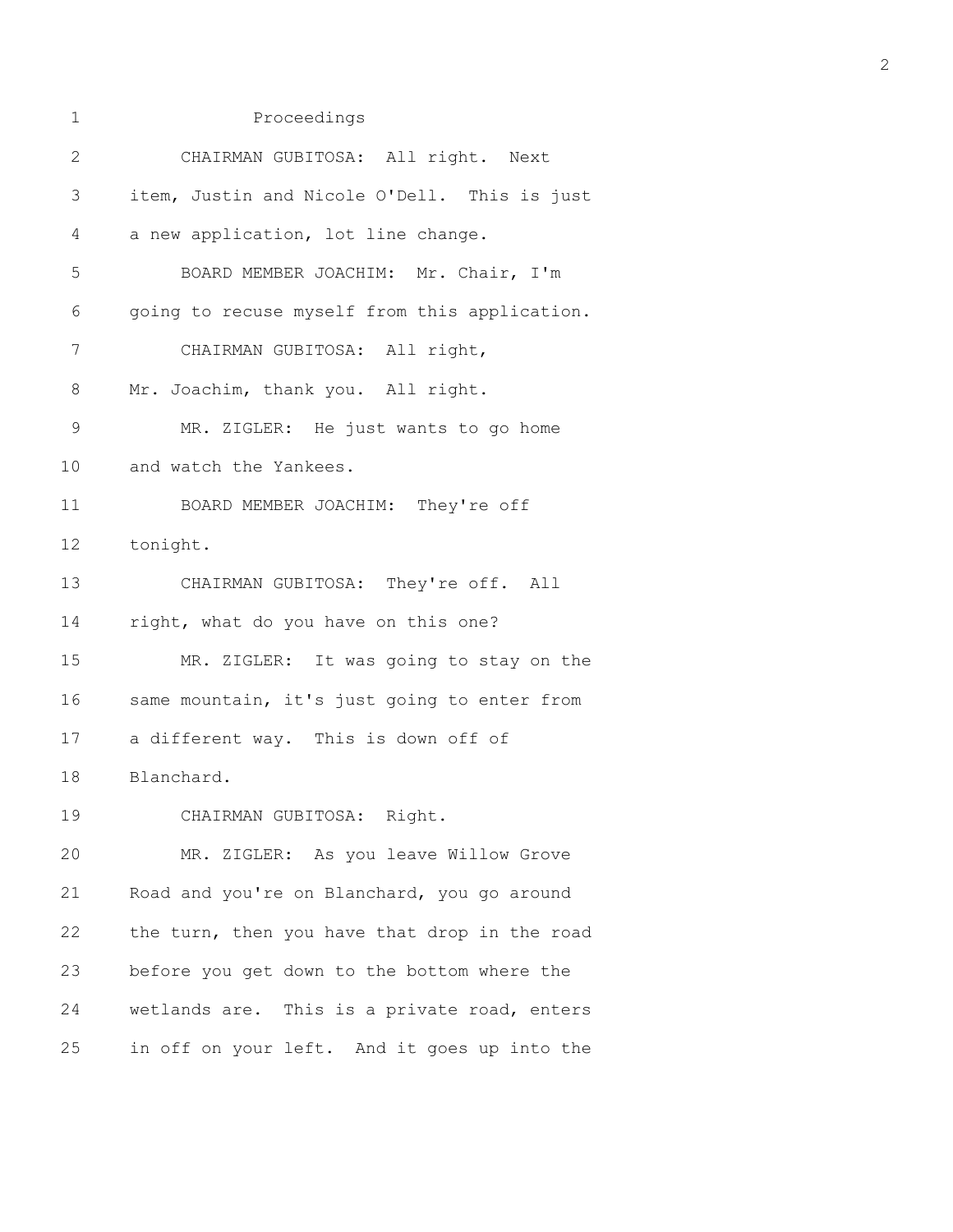| 1           | Proceedings                                   |
|-------------|-----------------------------------------------|
| 2           | CHAIRMAN GUBITOSA: All right. Next            |
| 3           | item, Justin and Nicole O'Dell. This is just  |
| 4           | a new application, lot line change.           |
| 5           | BOARD MEMBER JOACHIM: Mr. Chair, I'm          |
| 6           | going to recuse myself from this application. |
| 7           | CHAIRMAN GUBITOSA: All right,                 |
| 8           | Mr. Joachim, thank you. All right.            |
| $\mathsf 9$ | MR. ZIGLER: He just wants to go home          |
| 10          | and watch the Yankees.                        |
| 11          | BOARD MEMBER JOACHIM: They're off             |
| 12          | tonight.                                      |
| 13          | CHAIRMAN GUBITOSA: They're off. All           |
| 14          | right, what do you have on this one?          |
| 15          | MR. ZIGLER: It was going to stay on the       |
| 16          | same mountain, it's just going to enter from  |
| 17          | a different way. This is down off of          |
| 18          | Blanchard.                                    |
| 19          | CHAIRMAN GUBITOSA: Right.                     |
| 20          | MR. ZIGLER: As you leave Willow Grove         |
| 21          | Road and you're on Blanchard, you go around   |
| 22          | the turn, then you have that drop in the road |
| 23          | before you get down to the bottom where the   |
| 24          | wetlands are. This is a private road, enters  |
| 25          | in off on your left. And it goes up into the  |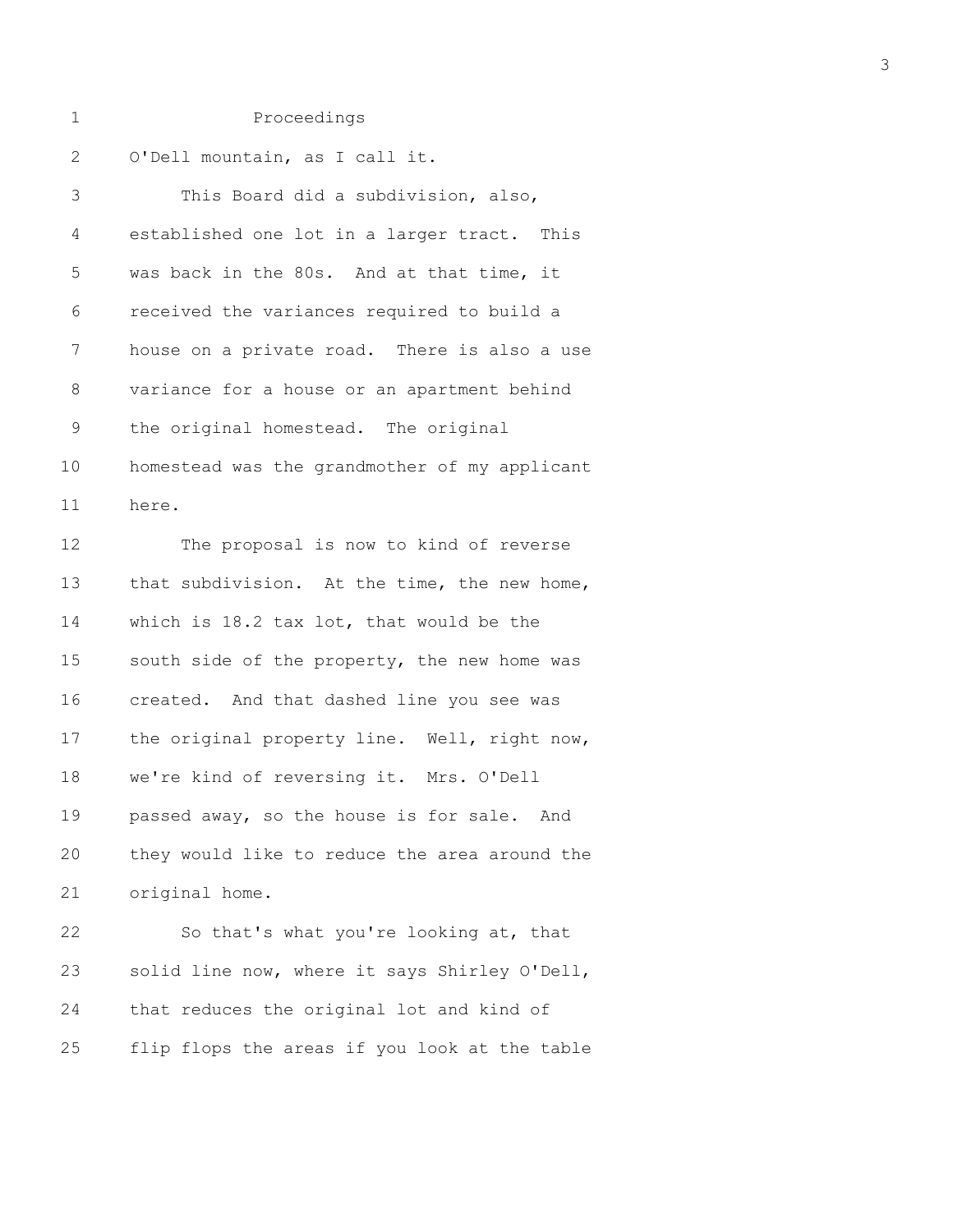2 O'Dell mountain, as I call it.

| 3           | This Board did a subdivision, also,           |  |  |
|-------------|-----------------------------------------------|--|--|
| 4           | established one lot in a larger tract. This   |  |  |
| 5           | was back in the 80s. And at that time, it     |  |  |
| 6           | received the variances required to build a    |  |  |
| 7           | house on a private road. There is also a use  |  |  |
| 8           | variance for a house or an apartment behind   |  |  |
| $\mathsf 9$ | the original homestead. The original          |  |  |
| 10          | homestead was the grandmother of my applicant |  |  |
| 11          | here.                                         |  |  |
| 12          | The proposal is now to kind of reverse        |  |  |
| 13          | that subdivision. At the time, the new home,  |  |  |
| 14          | which is 18.2 tax lot, that would be the      |  |  |
| 15          | south side of the property, the new home was  |  |  |
| 16          | created. And that dashed line you see was     |  |  |
| 17          | the original property line. Well, right now,  |  |  |
| 18          | we're kind of reversing it. Mrs. O'Dell       |  |  |
| 19          | passed away, so the house is for sale. And    |  |  |
| 20          | they would like to reduce the area around the |  |  |
| 21          | original home.                                |  |  |
| 22          | So that's what you're looking at, that        |  |  |
| 23          | solid line now, where it says Shirley O'Dell, |  |  |
| 24          | that reduces the original lot and kind of     |  |  |
| 25          | flip flops the areas if you look at the table |  |  |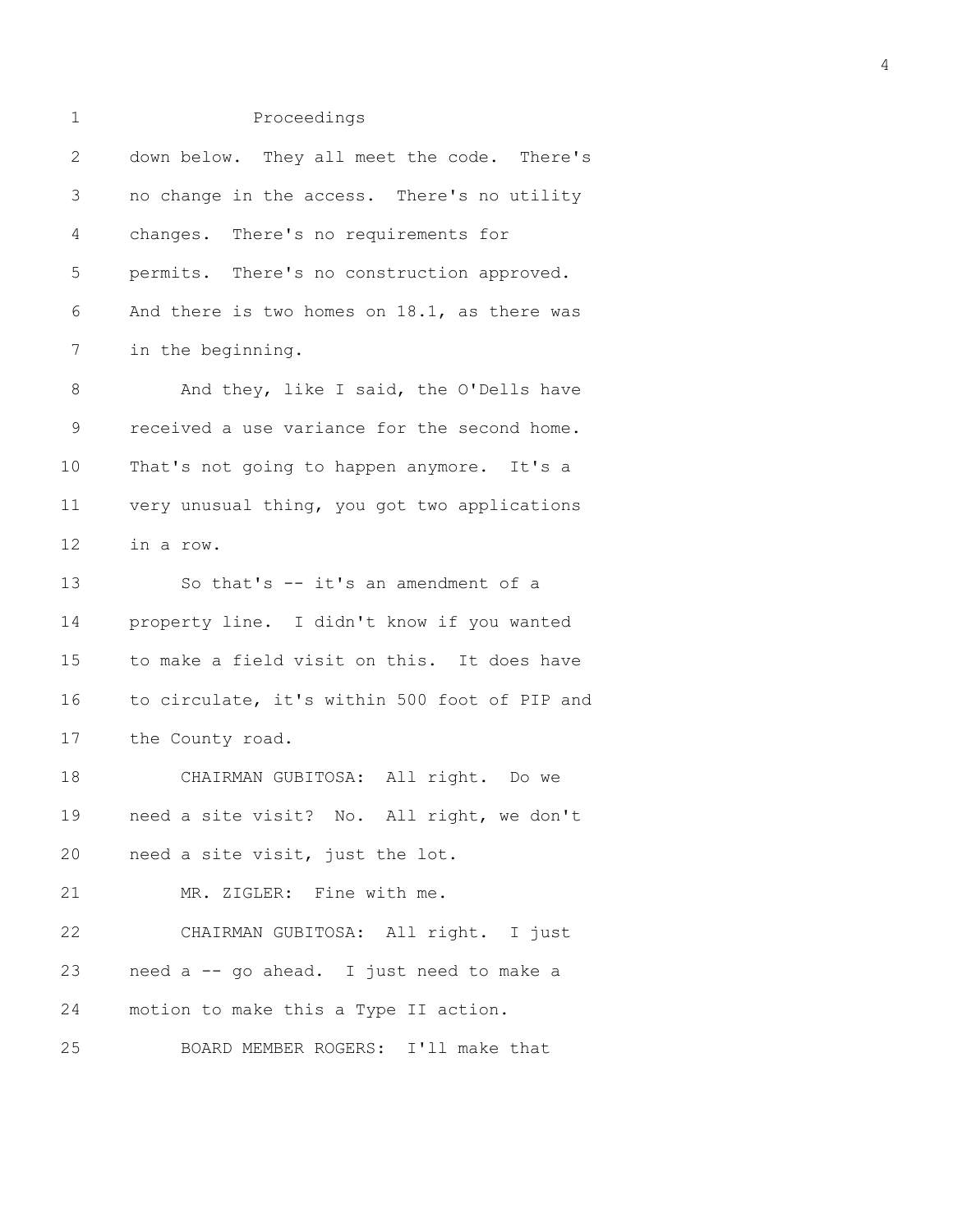| $\mathbf 1$    | Proceedings                                   |
|----------------|-----------------------------------------------|
| $\overline{2}$ | down below. They all meet the code. There's   |
| 3              | no change in the access. There's no utility   |
| 4              | changes. There's no requirements for          |
| 5              | permits. There's no construction approved.    |
| 6              | And there is two homes on 18.1, as there was  |
| 7              | in the beginning.                             |
| 8              | And they, like I said, the O'Dells have       |
| 9              | received a use variance for the second home.  |
| 10             | That's not going to happen anymore. It's a    |
| 11             | very unusual thing, you got two applications  |
| 12             | in a row.                                     |
| 13             | So that's -- it's an amendment of a           |
| 14             | property line. I didn't know if you wanted    |
| 15             | to make a field visit on this. It does have   |
| 16             | to circulate, it's within 500 foot of PIP and |
| 17             | the County road.                              |
| 18             | CHAIRMAN GUBITOSA: All right. Do we           |
|                | 19 need a site visit? No. All right, we don't |
| 20             | need a site visit, just the lot.              |
| 21             | MR. ZIGLER: Fine with me.                     |
| 22             | CHAIRMAN GUBITOSA: All right. I just          |
| 23             | need a -- go ahead. I just need to make a     |
| 24             | motion to make this a Type II action.         |
| 25             | BOARD MEMBER ROGERS: I'll make that           |

4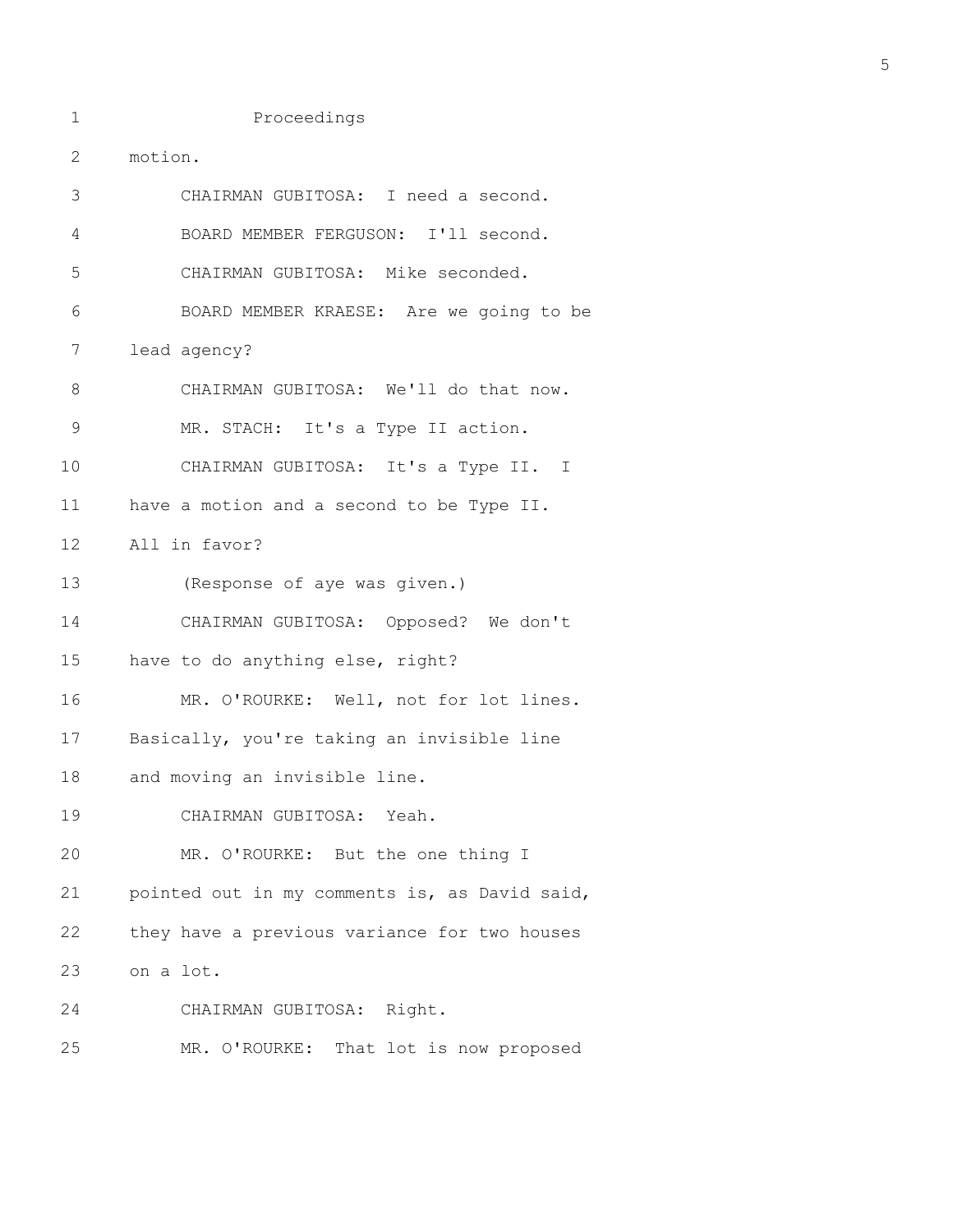1 Proceedings

2 motion. 3 CHAIRMAN GUBITOSA: I need a second. 4 BOARD MEMBER FERGUSON: I'll second. 5 CHAIRMAN GUBITOSA: Mike seconded. 6 BOARD MEMBER KRAESE: Are we going to be 7 lead agency? 8 CHAIRMAN GUBITOSA: We'll do that now. 9 MR. STACH: It's a Type II action. 10 CHAIRMAN GUBITOSA: It's a Type II. I 11 have a motion and a second to be Type II. 12 All in favor? 13 (Response of aye was given.) 14 CHAIRMAN GUBITOSA: Opposed? We don't 15 have to do anything else, right? 16 MR. O'ROURKE: Well, not for lot lines. 17 Basically, you're taking an invisible line 18 and moving an invisible line. 19 CHAIRMAN GUBITOSA: Yeah. 20 MR. O'ROURKE: But the one thing I 21 pointed out in my comments is, as David said, 22 they have a previous variance for two houses 23 on a lot. 24 CHAIRMAN GUBITOSA: Right. 25 MR. O'ROURKE: That lot is now proposed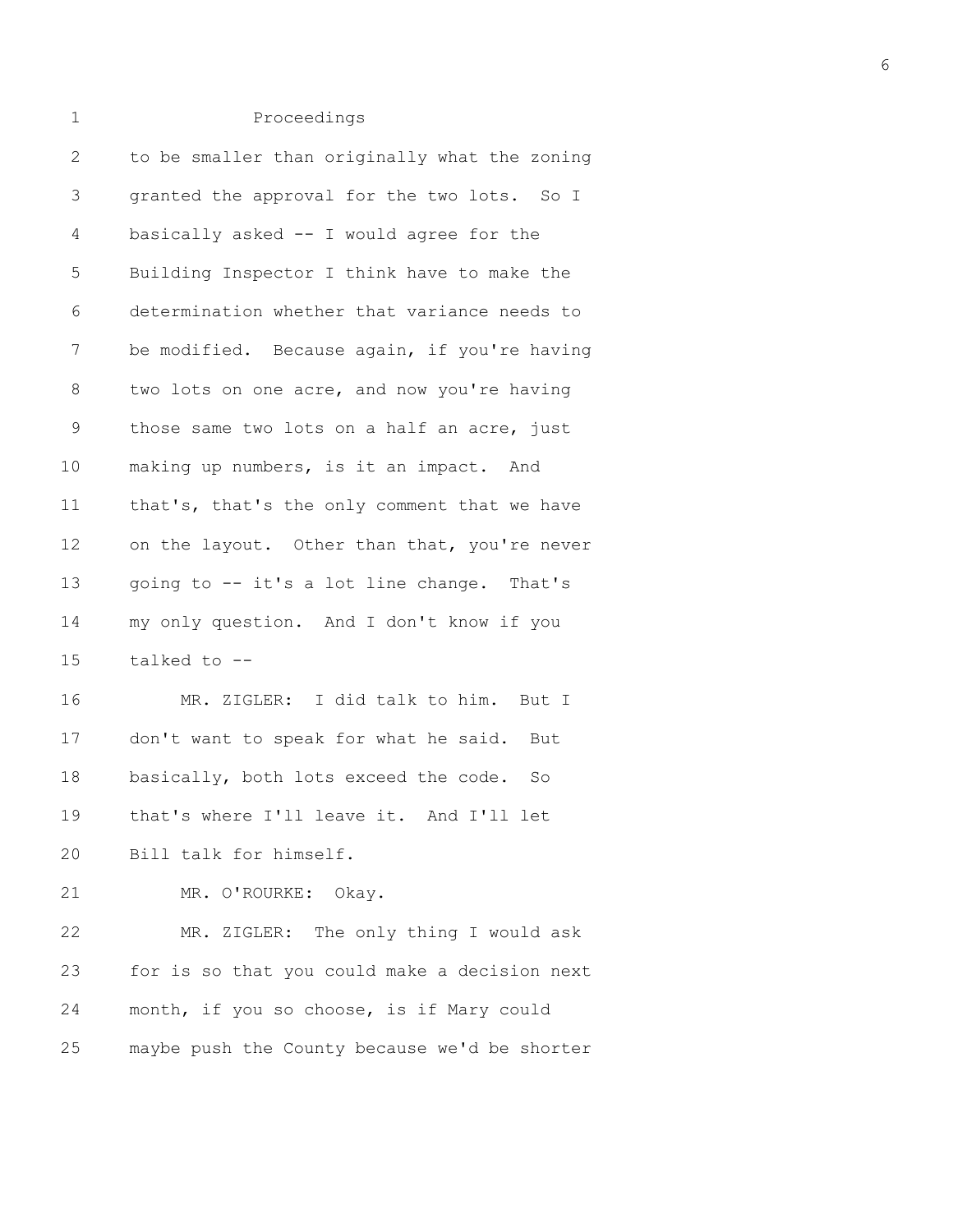## 1 Proceedings

| 2           | to be smaller than originally what the zoning |
|-------------|-----------------------------------------------|
| 3           | granted the approval for the two lots. So I   |
| 4           | basically asked -- I would agree for the      |
| 5           | Building Inspector I think have to make the   |
| 6           | determination whether that variance needs to  |
| 7           | be modified. Because again, if you're having  |
| 8           | two lots on one acre, and now you're having   |
| $\mathsf 9$ | those same two lots on a half an acre, just   |
| 10          | making up numbers, is it an impact. And       |
| 11          | that's, that's the only comment that we have  |
| 12          | on the layout. Other than that, you're never  |
| 13          | going to -- it's a lot line change. That's    |
| 14          | my only question. And I don't know if you     |
| 15          | talked to --                                  |
| 16          | MR. ZIGLER: I did talk to him. But I          |
| 17          | don't want to speak for what he said. But     |
| 18          | basically, both lots exceed the code. So      |
| 19          | that's where I'll leave it. And I'll let      |
| 20          | Bill talk for himself.                        |
| 21          | MR. O'ROURKE: Okay.                           |
| 22          | MR. ZIGLER: The only thing I would ask        |
| 23          | for is so that you could make a decision next |
| 24          | month, if you so choose, is if Mary could     |
| 25          | maybe push the County because we'd be shorter |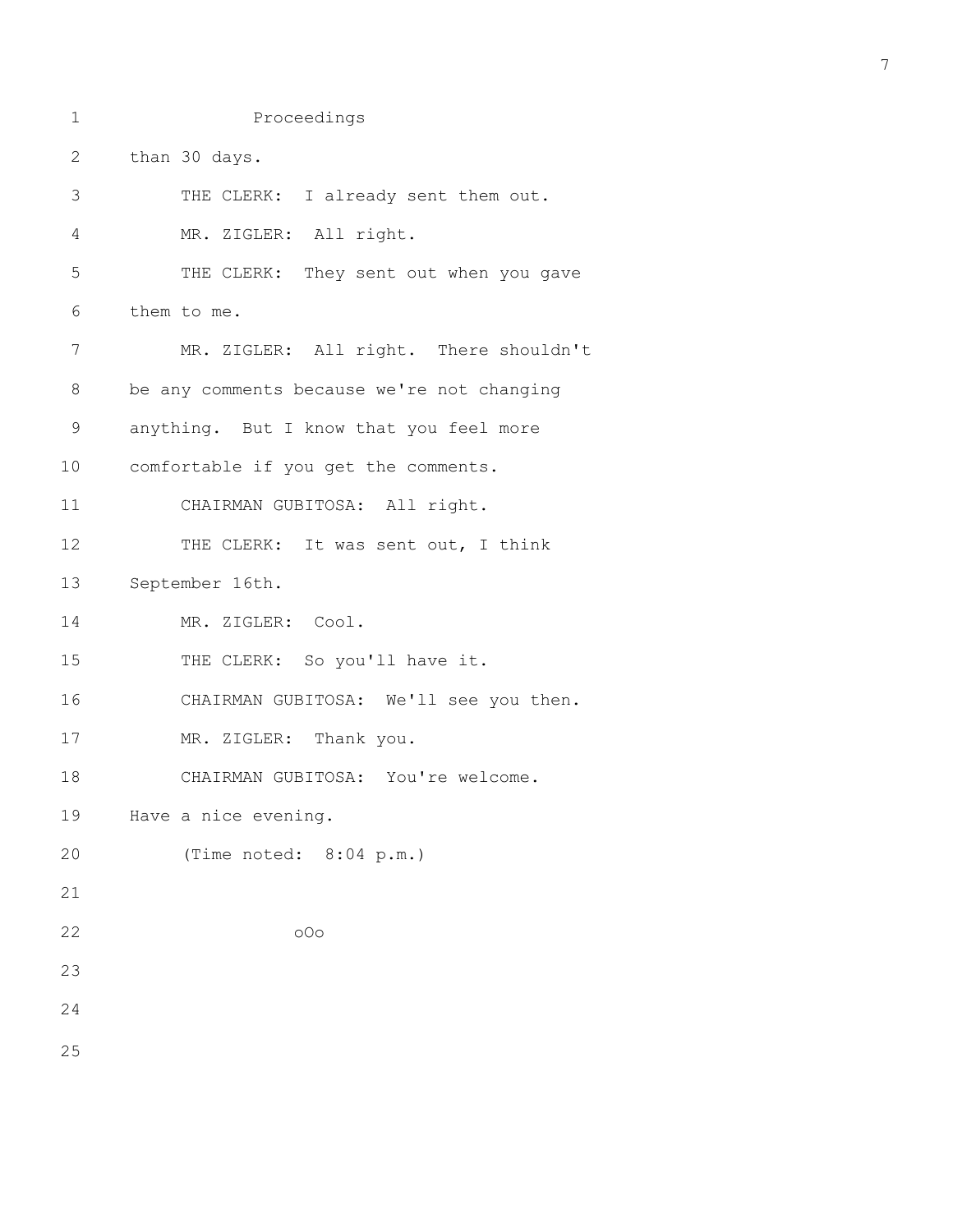```
1 Proceedings
2 than 30 days.
3 THE CLERK: I already sent them out.
4 MR. ZIGLER: All right.
5 THE CLERK: They sent out when you gave
6 them to me.
7 MR. ZIGLER: All right. There shouldn't
8 be any comments because we're not changing
9 anything. But I know that you feel more
10 comfortable if you get the comments.
11 CHAIRMAN GUBITOSA: All right.
12 THE CLERK: It was sent out, I think
13 September 16th.
14 MR. ZIGLER: Cool.
15 THE CLERK: So you'll have it.
16 CHAIRMAN GUBITOSA: We'll see you then.
17 MR. ZIGLER: Thank you.
18 CHAIRMAN GUBITOSA: You're welcome.
19 Have a nice evening.
20 (Time noted: 8:04 p.m.)
21 
22 oOo
23 
24 
25
```